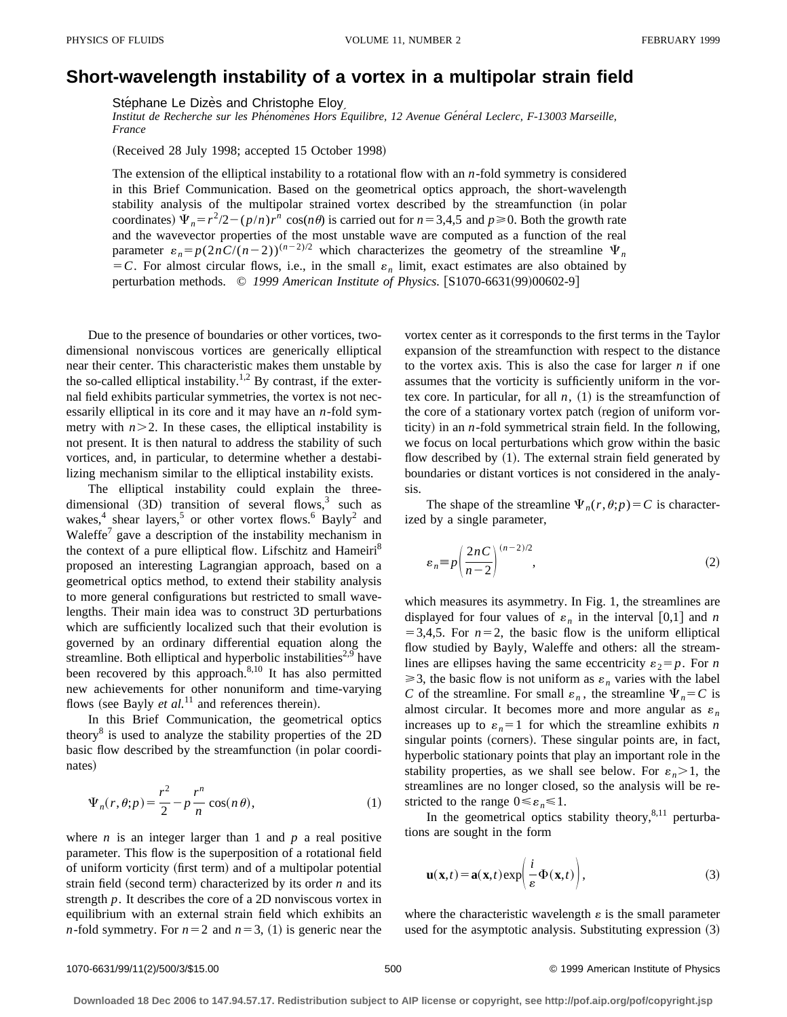## **Short-wavelength instability of a vortex in a multipolar strain field**

Stéphane Le Dizès and Christophe Eloy

*Institut de Recherche sur les Phe´nome`nes Hors E´ quilibre, 12 Avenue Ge´ne´ral Leclerc, F-13003 Marseille, France*

(Received 28 July 1998; accepted 15 October 1998)

The extension of the elliptical instability to a rotational flow with an *n*-fold symmetry is considered in this Brief Communication. Based on the geometrical optics approach, the short-wavelength stability analysis of the multipolar strained vortex described by the streamfunction (in polar coordinates)  $\Psi_n = r^2/2 - (p/n)r^n \cos(n\theta)$  is carried out for  $n = 3,4,5$  and  $p \ge 0$ . Both the growth rate and the wavevector properties of the most unstable wave are computed as a function of the real parameter  $\varepsilon_n = p(2nC/(n-2))^{(n-2)/2}$  which characterizes the geometry of the streamline  $\Psi_n$  $=$  C. For almost circular flows, i.e., in the small  $\varepsilon_n$  limit, exact estimates are also obtained by perturbation methods. © 1999 American Institute of Physics. [S1070-6631(99)00602-9]

Due to the presence of boundaries or other vortices, twodimensional nonviscous vortices are generically elliptical near their center. This characteristic makes them unstable by the so-called elliptical instability.<sup>1,2</sup> By contrast, if the external field exhibits particular symmetries, the vortex is not necessarily elliptical in its core and it may have an *n*-fold symmetry with  $n > 2$ . In these cases, the elliptical instability is not present. It is then natural to address the stability of such vortices, and, in particular, to determine whether a destabilizing mechanism similar to the elliptical instability exists.

The elliptical instability could explain the threedimensional  $(3D)$  transition of several flows,<sup>3</sup> such as wakes,<sup>4</sup> shear layers,<sup>5</sup> or other vortex flows.<sup>6</sup> Bayly<sup>2</sup> and Waleffe<sup>7</sup> gave a description of the instability mechanism in the context of a pure elliptical flow. Lifschitz and Hameiri<sup>8</sup> proposed an interesting Lagrangian approach, based on a geometrical optics method, to extend their stability analysis to more general configurations but restricted to small wavelengths. Their main idea was to construct 3D perturbations which are sufficiently localized such that their evolution is governed by an ordinary differential equation along the streamline. Both elliptical and hyperbolic instabilities $2.9$  have been recovered by this approach.<sup>8,10</sup> It has also permitted new achievements for other nonuniform and time-varying flows (see Bayly *et al.*<sup>11</sup> and references therein).

In this Brief Communication, the geometrical optics theory<sup>8</sup> is used to analyze the stability properties of the  $2D$ basic flow described by the streamfunction (in polar coordinates)

$$
\Psi_n(r,\theta;p) = \frac{r^2}{2} - p\frac{r^n}{n}\cos(n\theta),\tag{1}
$$

where  $n$  is an integer larger than 1 and  $p$  a real positive parameter. This flow is the superposition of a rotational field of uniform vorticity (first term) and of a multipolar potential strain field (second term) characterized by its order  $n$  and its strength *p*. It describes the core of a 2D nonviscous vortex in equilibrium with an external strain field which exhibits an *n*-fold symmetry. For  $n=2$  and  $n=3$ , (1) is generic near the vortex center as it corresponds to the first terms in the Taylor expansion of the streamfunction with respect to the distance to the vortex axis. This is also the case for larger *n* if one assumes that the vorticity is sufficiently uniform in the vortex core. In particular, for all  $n$ ,  $(1)$  is the streamfunction of the core of a stationary vortex patch (region of uniform vorticity) in an  $n$ -fold symmetrical strain field. In the following, we focus on local perturbations which grow within the basic flow described by  $(1)$ . The external strain field generated by boundaries or distant vortices is not considered in the analysis.

The shape of the streamline  $\Psi_n(r,\theta;p)=C$  is characterized by a single parameter,

$$
\varepsilon_n \equiv p \left( \frac{2nC}{n-2} \right)^{(n-2)/2},\tag{2}
$$

which measures its asymmetry. In Fig. 1, the streamlines are displayed for four values of  $\varepsilon_n$  in the interval [0,1] and *n*  $=$  3,4,5. For  $n=2$ , the basic flow is the uniform elliptical flow studied by Bayly, Waleffe and others: all the streamlines are ellipses having the same eccentricity  $\varepsilon_2 = p$ . For *n*  $\geq$ 3, the basic flow is not uniform as  $\varepsilon_n$  varies with the label *C* of the streamline. For small  $\varepsilon_n$ , the streamline  $\Psi_n = C$  is almost circular. It becomes more and more angular as  $\varepsilon_n$ increases up to  $\varepsilon_n = 1$  for which the streamline exhibits *n* singular points (corners). These singular points are, in fact, hyperbolic stationary points that play an important role in the stability properties, as we shall see below. For  $\varepsilon_n > 1$ , the streamlines are no longer closed, so the analysis will be restricted to the range  $0 \le \varepsilon_n \le 1$ .

In the geometrical optics stability theory, $8,11$  perturbations are sought in the form

$$
\mathbf{u}(\mathbf{x},t) = \mathbf{a}(\mathbf{x},t) \exp\left(\frac{i}{\varepsilon} \Phi(\mathbf{x},t)\right),\tag{3}
$$

where the characteristic wavelength  $\varepsilon$  is the small parameter used for the asymptotic analysis. Substituting expression  $(3)$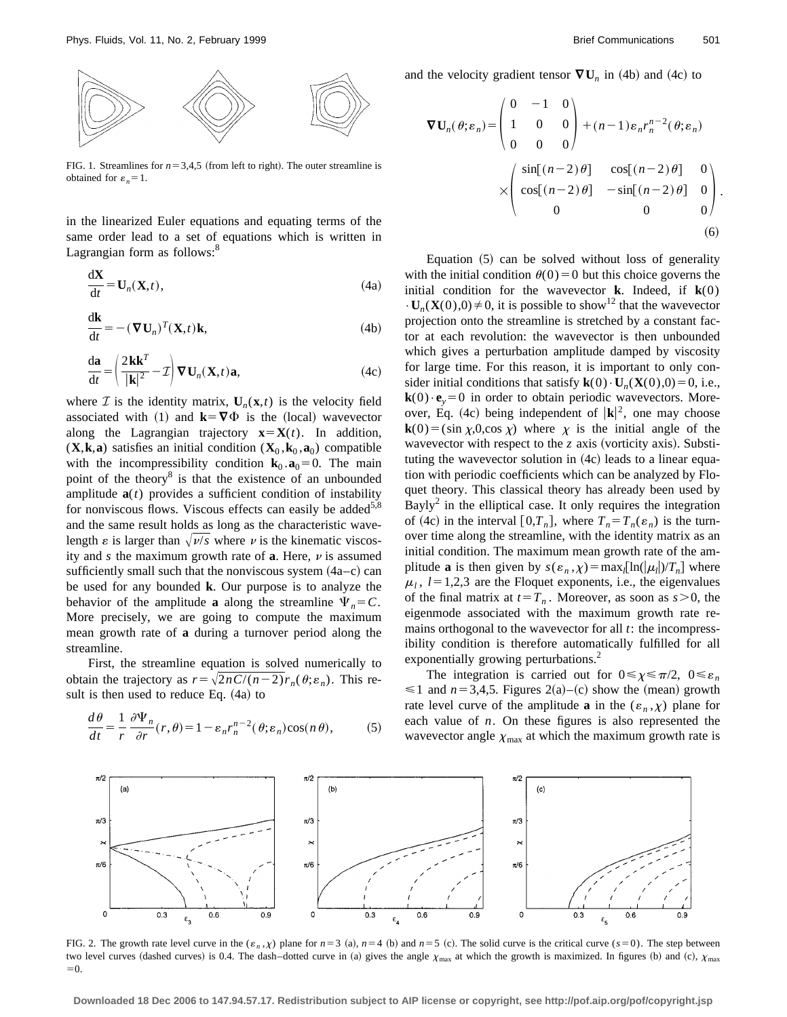

FIG. 1. Streamlines for  $n=3,4,5$  (from left to right). The outer streamline is obtained for  $\varepsilon_n = 1$ .

in the linearized Euler equations and equating terms of the same order lead to a set of equations which is written in Lagrangian form as follows:<sup>8</sup>

$$
\frac{d\mathbf{X}}{dt} = \mathbf{U}_n(\mathbf{X}, t),\tag{4a}
$$

$$
\frac{d\mathbf{k}}{dt} = -(\nabla \mathbf{U}_n)^T (\mathbf{X}, t) \mathbf{k},
$$
\n(4b)

$$
\frac{d\mathbf{a}}{dt} = \left(\frac{2\mathbf{k}\mathbf{k}^T}{|\mathbf{k}|^2} - \mathcal{I}\right) \nabla \mathbf{U}_n(\mathbf{X}, t) \mathbf{a},\tag{4c}
$$

where  $\mathcal{I}$  is the identity matrix,  $\mathbf{U}_n(\mathbf{x},t)$  is the velocity field associated with (1) and  $\mathbf{k} = \nabla \Phi$  is the (local) wavevector along the Lagrangian trajectory  $\mathbf{x} = \mathbf{X}(t)$ . In addition,  $(X, \mathbf{k}, \mathbf{a})$  satisfies an initial condition  $(X_0, \mathbf{k}_0, \mathbf{a}_0)$  compatible with the incompressibility condition  $\mathbf{k}_0 \cdot \mathbf{a}_0 = 0$ . The main point of the theory<sup>8</sup> is that the existence of an unbounded amplitude  $a(t)$  provides a sufficient condition of instability for nonviscous flows. Viscous effects can easily be added<sup>5,8</sup> and the same result holds as long as the characteristic wavelength  $\varepsilon$  is larger than  $\sqrt{\nu/s}$  where  $\nu$  is the kinematic viscosity and  $s$  the maximum growth rate of  $a$ . Here,  $v$  is assumed sufficiently small such that the nonviscous system  $(4a-c)$  can be used for any bounded **k**. Our purpose is to analyze the behavior of the amplitude **a** along the streamline  $\Psi_n = C$ . More precisely, we are going to compute the maximum mean growth rate of **a** during a turnover period along the streamline.

First, the streamline equation is solved numerically to obtain the trajectory as  $r=\sqrt{2nC/(n-2)}r_n(\theta;\varepsilon_n)$ . This result is then used to reduce Eq.  $(4a)$  to

$$
\frac{d\theta}{dt} = \frac{1}{r} \frac{\partial \Psi_n}{\partial r}(r,\theta) = 1 - \varepsilon_n r_n^{n-2}(\theta; \varepsilon_n) \cos(n\theta),\tag{5}
$$

and the velocity gradient tensor  $\nabla \mathbf{U}_n$  in (4b) and (4c) to

$$
\nabla \mathbf{U}_n(\theta; \varepsilon_n) = \begin{pmatrix} 0 & -1 & 0 \\ 1 & 0 & 0 \\ 0 & 0 & 0 \end{pmatrix} + (n-1)\varepsilon_n r_n^{n-2}(\theta; \varepsilon_n)
$$

$$
\times \begin{pmatrix} \sin[(n-2)\theta] & \cos[(n-2)\theta] & 0 \\ \cos[(n-2)\theta] & -\sin[(n-2)\theta] & 0 \\ 0 & 0 & 0 \end{pmatrix}.
$$
 (6)

Equation  $(5)$  can be solved without loss of generality with the initial condition  $\theta(0)=0$  but this choice governs the initial condition for the wavevector **k**. Indeed, if  $\mathbf{k}(0)$  $\cdot$ **U<sub>n</sub>(<b>X**(0),0)  $\neq$  0, it is possible to show<sup>12</sup> that the wavevector projection onto the streamline is stretched by a constant factor at each revolution: the wavevector is then unbounded which gives a perturbation amplitude damped by viscosity for large time. For this reason, it is important to only consider initial conditions that satisfy  $\mathbf{k}(0) \cdot \mathbf{U}_n(\mathbf{X}(0),0) = 0$ , i.e.,  $\mathbf{k}(0) \cdot \mathbf{e}_v = 0$  in order to obtain periodic wavevectors. Moreover, Eq. (4c) being independent of  $|\mathbf{k}|^2$ , one may choose  $\mathbf{k}(0) = (\sin \chi, 0, \cos \chi)$  where  $\chi$  is the initial angle of the wavevector with respect to the  $z$  axis (vorticity axis). Substituting the wavevector solution in  $(4c)$  leads to a linear equation with periodic coefficients which can be analyzed by Floquet theory. This classical theory has already been used by Bayly<sup>2</sup> in the elliptical case. It only requires the integration of (4c) in the interval  $[0,T_n]$ , where  $T_n = T_n(\varepsilon_n)$  is the turnover time along the streamline, with the identity matrix as an initial condition. The maximum mean growth rate of the amplitude **a** is then given by  $s(\varepsilon_n, \chi) = \max_l [\ln(|\mu_l|)/T_n]$  where  $\mu_l$ ,  $l=1,2,3$  are the Floquet exponents, i.e., the eigenvalues of the final matrix at  $t=T_n$ . Moreover, as soon as  $s>0$ , the eigenmode associated with the maximum growth rate remains orthogonal to the wavevector for all *t*: the incompressibility condition is therefore automatically fulfilled for all exponentially growing perturbations.<sup>2</sup>

The integration is carried out for  $0 \le \chi \le \pi/2$ ,  $0 \le \varepsilon_n$  $\leq 1$  and  $n=3,4,5$ . Figures 2(a)–(c) show the (mean) growth rate level curve of the amplitude **a** in the  $(\varepsilon_n, \chi)$  plane for each value of *n*. On these figures is also represented the wavevector angle  $\chi_{\text{max}}$  at which the maximum growth rate is



FIG. 2. The growth rate level curve in the  $(\varepsilon_n, \chi)$  plane for  $n=3$  (a),  $n=4$  (b) and  $n=5$  (c). The solid curve is the critical curve ( $s=0$ ). The step between two level curves (dashed curves) is 0.4. The dash–dotted curve in (a) gives the angle  $\chi_{\text{max}}$  at which the growth is maximized. In figures (b) and (c),  $\chi_{\text{max}}$  $=0.$ 

**Downloaded 18 Dec 2006 to 147.94.57.17. Redistribution subject to AIP license or copyright, see http://pof.aip.org/pof/copyright.jsp**